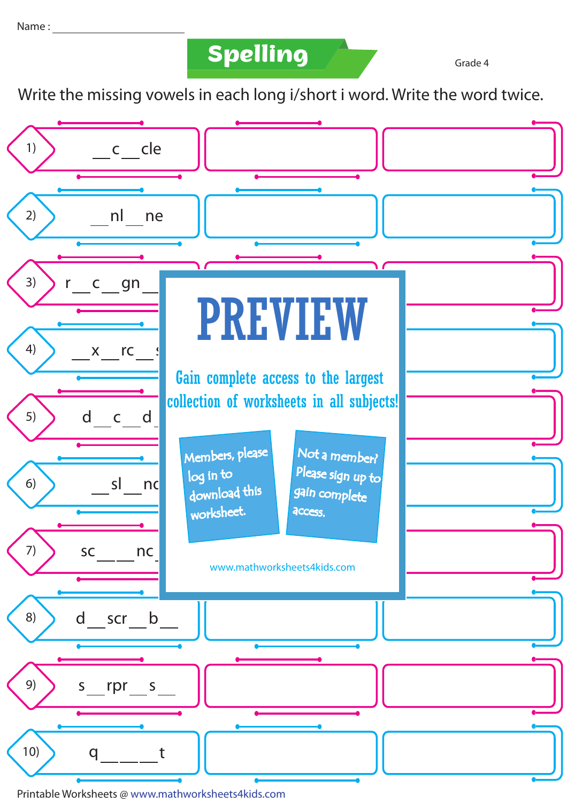**Spelling Grade 4** 

Write the missing vowels in each long i/short i word. Write the word twice.



Printable Worksheets @ www.mathworksheets4kids.com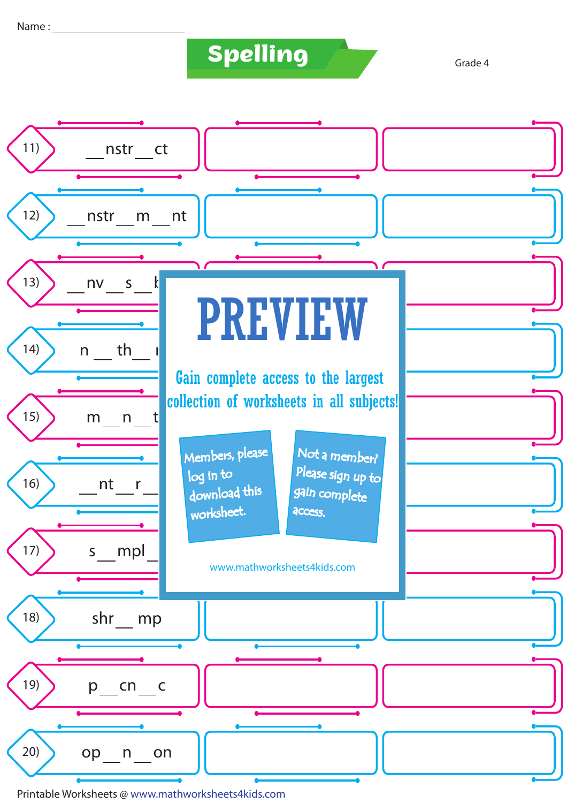## **Spelling Grade 4**

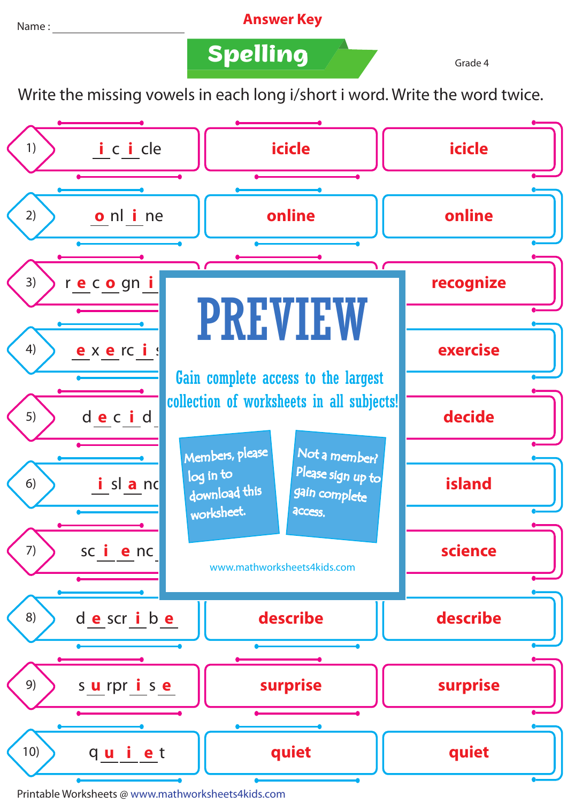Name : **Answer Key** 

**Spelling Grade 4** 

Write the missing vowels in each long i/short i word. Write the word twice.



Printable Worksheets @ www.mathworksheets4kids.com